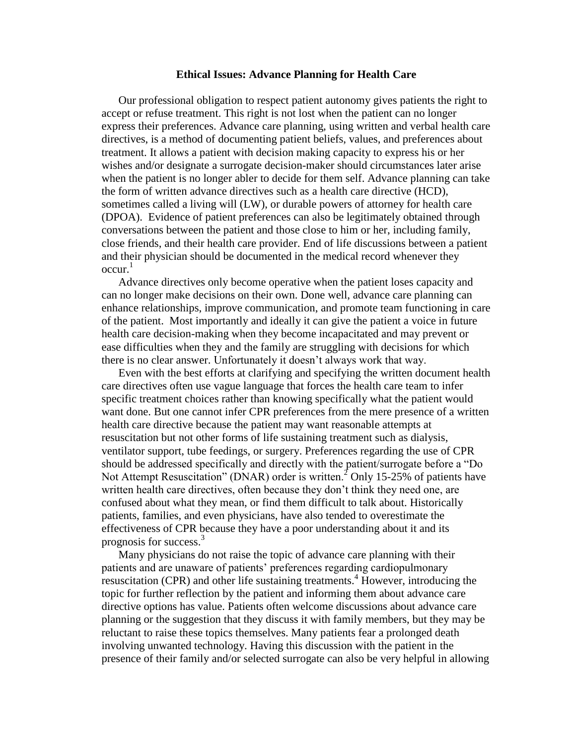## **Ethical Issues: Advance Planning for Health Care**

Our professional obligation to respect patient autonomy gives patients the right to accept or refuse treatment. This right is not lost when the patient can no longer express their preferences. Advance care planning, using written and verbal health care directives, is a method of documenting patient beliefs, values, and preferences about treatment. It allows a patient with decision making capacity to express his or her wishes and/or designate a surrogate decision-maker should circumstances later arise when the patient is no longer abler to decide for them self. Advance planning can take the form of written advance directives such as a health care directive (HCD), sometimes called a living will (LW), or durable powers of attorney for health care (DPOA). Evidence of patient preferences can also be legitimately obtained through conversations between the patient and those close to him or her, including family, close friends, and their health care provider. End of life discussions between a patient and their physician should be documented in the medical record whenever they occur. 1

Advance directives only become operative when the patient loses capacity and can no longer make decisions on their own. Done well, advance care planning can enhance relationships, improve communication, and promote team functioning in care of the patient. Most importantly and ideally it can give the patient a voice in future health care decision-making when they become incapacitated and may prevent or ease difficulties when they and the family are struggling with decisions for which there is no clear answer. Unfortunately it doesn't always work that way.

Even with the best efforts at clarifying and specifying the written document health care directives often use vague language that forces the health care team to infer specific treatment choices rather than knowing specifically what the patient would want done. But one cannot infer CPR preferences from the mere presence of a written health care directive because the patient may want reasonable attempts at resuscitation but not other forms of life sustaining treatment such as dialysis, ventilator support, tube feedings, or surgery. Preferences regarding the use of CPR should be addressed specifically and directly with the patient/surrogate before a "Do Not Attempt Resuscitation" (DNAR) order is written.<sup>2</sup> Only 15-25% of patients have written health care directives, often because they don't think they need one, are confused about what they mean, or find them difficult to talk about. Historically patients, families, and even physicians, have also tended to overestimate the effectiveness of CPR because they have a poor understanding about it and its prognosis for success. $3$ 

Many physicians do not raise the topic of advance care planning with their patients and are unaware of patients' preferences regarding cardiopulmonary resuscitation (CPR) and other life sustaining treatments.<sup>4</sup> However, introducing the topic for further reflection by the patient and informing them about advance care directive options has value. Patients often welcome discussions about advance care planning or the suggestion that they discuss it with family members, but they may be reluctant to raise these topics themselves. Many patients fear a prolonged death involving unwanted technology. Having this discussion with the patient in the presence of their family and/or selected surrogate can also be very helpful in allowing